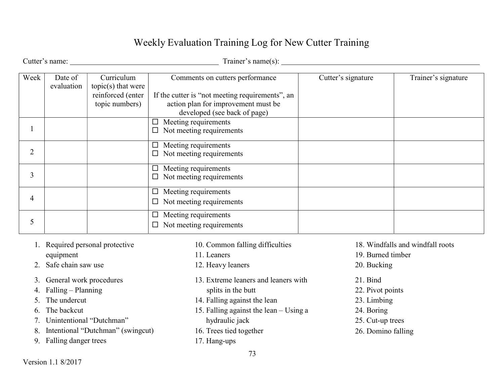## Weekly Evaluation Training Log for New Cutter Training

Cutter's name: Trainer's name(s):

| Week | Date of    | Curriculum           | Comments on cutters performance                 | Cutter's signature | Trainer's signature |
|------|------------|----------------------|-------------------------------------------------|--------------------|---------------------|
|      | evaluation | $topic(s)$ that were |                                                 |                    |                     |
|      |            | reinforced (enter    | If the cutter is "not meeting requirements", an |                    |                     |
|      |            | topic numbers)       | action plan for improvement must be             |                    |                     |
|      |            |                      | developed (see back of page)                    |                    |                     |
|      |            |                      | Meeting requirements                            |                    |                     |
|      |            |                      | Not meeting requirements                        |                    |                     |
| 2    |            |                      | Meeting requirements<br>$\Box$                  |                    |                     |
|      |            |                      | $\Box$ Not meeting requirements                 |                    |                     |
| 3    |            |                      | Meeting requirements<br>$\Box$                  |                    |                     |
|      |            |                      | Not meeting requirements                        |                    |                     |
| 4    |            |                      | Meeting requirements                            |                    |                     |
|      |            |                      | Not meeting requirements                        |                    |                     |
|      |            |                      | Meeting requirements                            |                    |                     |
|      |            |                      | Not meeting requirements                        |                    |                     |

- 1. Required personal protective equipment
- 2. Safe chain saw use
- 3. General work procedures
- 4. Falling Planning
- 5. The undercut
- 6. The backcut
- 7. Unintentional "Dutchman"
- 8. Intentional "Dutchman" (swingcut)
- 9. Falling danger trees

13. Extreme leaners and leaners with 15. Falling against the lean – Using a 21. Bind 22. Pivot points 23. Limbing 24. Boring 25. Cut-up trees 26. Domino falling 10. Common falling difficulties 18. Windfalls and windfall roots 19. Burned timber 20. Bucking

splits in the butt 14. Falling against the lean

hydraulic jack 16. Trees tied together

17. Hang-ups

11. Leaners

12. Heavy leaners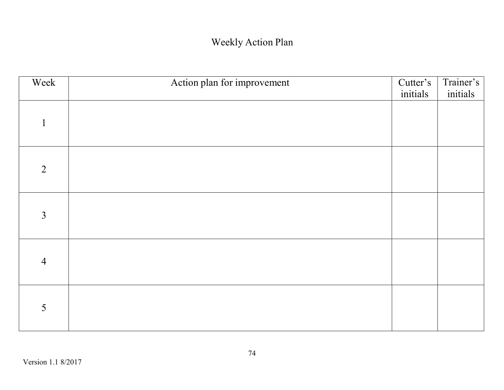## Weekly Action Plan

| Week           | Action plan for improvement | Cutter's<br>initials | Trainer's<br>initials |
|----------------|-----------------------------|----------------------|-----------------------|
| $\mathbf{1}$   |                             |                      |                       |
| 2              |                             |                      |                       |
| $\overline{3}$ |                             |                      |                       |
| $\overline{4}$ |                             |                      |                       |
| 5              |                             |                      |                       |